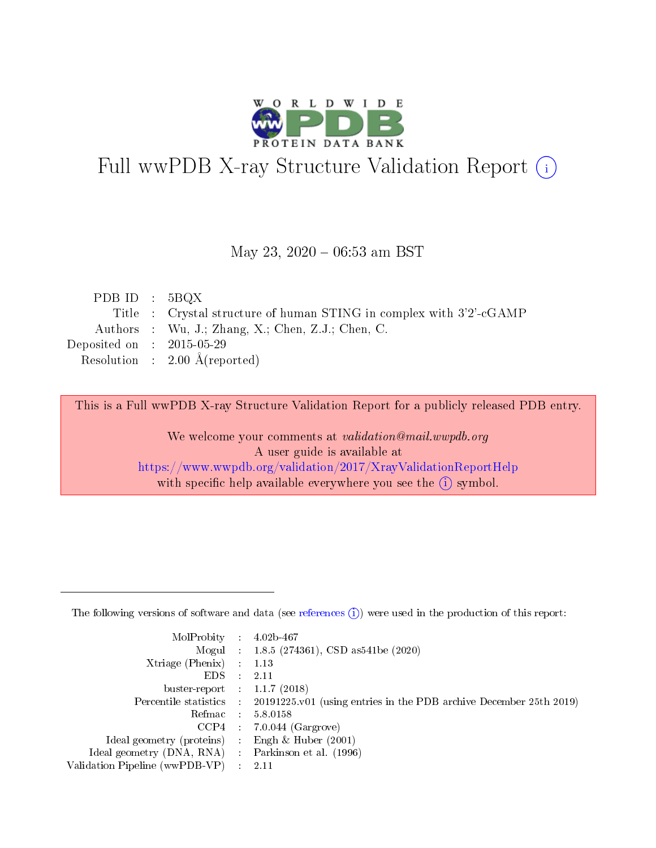

# Full wwPDB X-ray Structure Validation Report (i)

#### May 23,  $2020 - 06:53$  am BST

| PDB ID : $5BQX$             |                                                                     |
|-----------------------------|---------------------------------------------------------------------|
|                             | Title : Crystal structure of human STING in complex with 3'2'-cGAMP |
|                             | Authors : Wu, J.; Zhang, X.; Chen, Z.J.; Chen, C.                   |
| Deposited on : $2015-05-29$ |                                                                     |
|                             | Resolution : $2.00 \text{ Å}$ (reported)                            |
|                             |                                                                     |

This is a Full wwPDB X-ray Structure Validation Report for a publicly released PDB entry.

We welcome your comments at validation@mail.wwpdb.org A user guide is available at <https://www.wwpdb.org/validation/2017/XrayValidationReportHelp> with specific help available everywhere you see the  $(i)$  symbol.

The following versions of software and data (see [references](https://www.wwpdb.org/validation/2017/XrayValidationReportHelp#references)  $(1)$ ) were used in the production of this report:

| $MolProbability$ 4.02b-467                          |               |                                                                                            |
|-----------------------------------------------------|---------------|--------------------------------------------------------------------------------------------|
|                                                     |               | Mogul : 1.8.5 (274361), CSD as 541be (2020)                                                |
| $Xtriangle (Phenix)$ : 1.13                         |               |                                                                                            |
| EDS.                                                | $\mathcal{L}$ | 2.11                                                                                       |
| buster-report : $1.1.7(2018)$                       |               |                                                                                            |
|                                                     |               | Percentile statistics : 20191225.v01 (using entries in the PDB archive December 25th 2019) |
| Refmac $5.8.0158$                                   |               |                                                                                            |
|                                                     |               | $CCP4$ : 7.0.044 (Gargrove)                                                                |
| Ideal geometry (proteins) :                         |               | Engh $\&$ Huber (2001)                                                                     |
| Ideal geometry (DNA, RNA) : Parkinson et al. (1996) |               |                                                                                            |
| Validation Pipeline (wwPDB-VP) : 2.11               |               |                                                                                            |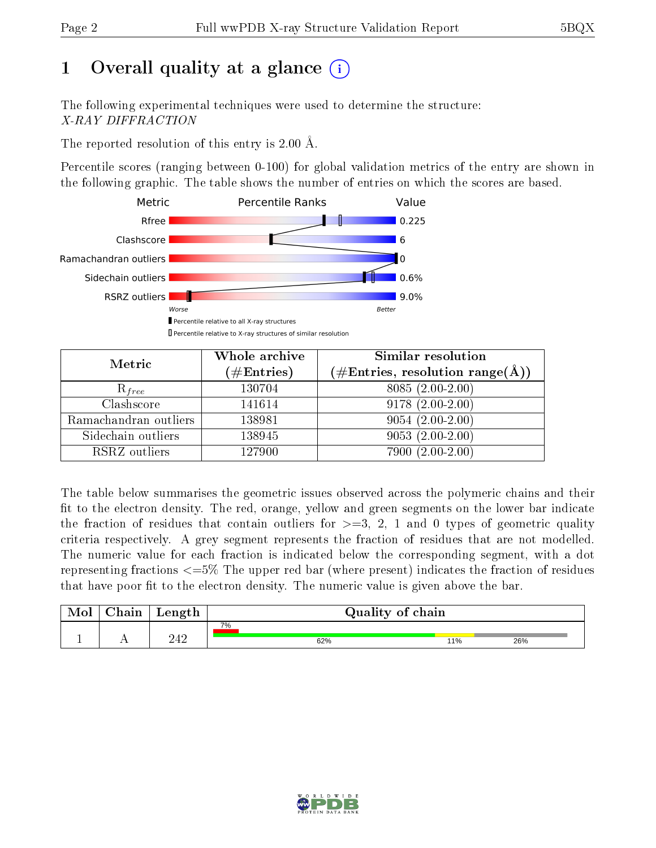# 1 [O](https://www.wwpdb.org/validation/2017/XrayValidationReportHelp#overall_quality)verall quality at a glance  $(i)$

The following experimental techniques were used to determine the structure: X-RAY DIFFRACTION

The reported resolution of this entry is 2.00 Å.

Percentile scores (ranging between 0-100) for global validation metrics of the entry are shown in the following graphic. The table shows the number of entries on which the scores are based.



| Metric                | Whole archive<br>$(\#\text{Entries})$ | Similar resolution<br>$(\#\text{Entries},\,\text{resolution}\,\,\text{range}(\textup{\AA}))$ |
|-----------------------|---------------------------------------|----------------------------------------------------------------------------------------------|
| $R_{free}$            | 130704                                | 8085 (2.00-2.00)                                                                             |
| Clashscore            | 141614                                | $9178(2.00-2.00)$                                                                            |
| Ramachandran outliers | 138981                                | $9054(2.00-2.00)$                                                                            |
| Sidechain outliers    | 138945                                | $9053(2.00-2.00)$                                                                            |
| RSRZ outliers         | 127900                                | $7900(2.00-2.00)$                                                                            |

The table below summarises the geometric issues observed across the polymeric chains and their fit to the electron density. The red, orange, yellow and green segments on the lower bar indicate the fraction of residues that contain outliers for  $>=3, 2, 1$  and 0 types of geometric quality criteria respectively. A grey segment represents the fraction of residues that are not modelled. The numeric value for each fraction is indicated below the corresponding segment, with a dot representing fractions  $\epsilon=5\%$  The upper red bar (where present) indicates the fraction of residues that have poor fit to the electron density. The numeric value is given above the bar.

| Mol | $\cap$ hain | Length |    | Quality of chain |     |     |  |  |  |
|-----|-------------|--------|----|------------------|-----|-----|--|--|--|
|     |             |        | 7% |                  |     |     |  |  |  |
|     |             | າ າ າ  |    | 62%              | 11% | 26% |  |  |  |

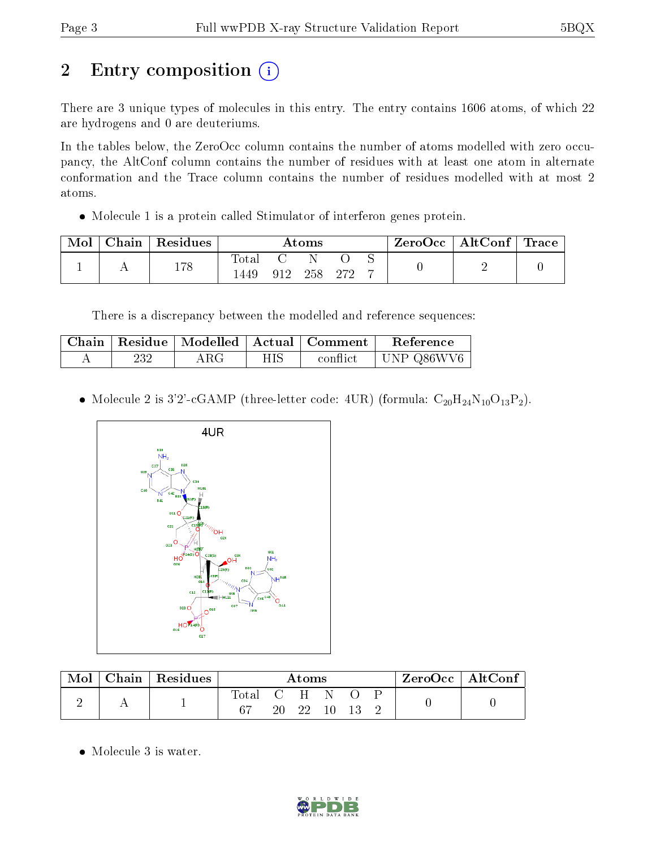# 2 Entry composition (i)

There are 3 unique types of molecules in this entry. The entry contains 1606 atoms, of which 22 are hydrogens and 0 are deuteriums.

In the tables below, the ZeroOcc column contains the number of atoms modelled with zero occupancy, the AltConf column contains the number of residues with at least one atom in alternate conformation and the Trace column contains the number of residues modelled with at most 2 atoms.

Molecule 1 is a protein called Stimulator of interferon genes protein.

| Mol | Chain   Residues | $\rm{Atoms}$  |     |     |      |  | ZeroOcc   AltConf   Trace |  |
|-----|------------------|---------------|-----|-----|------|--|---------------------------|--|
|     | 178              | fotal<br>449ء | 912 | 258 | .970 |  |                           |  |

There is a discrepancy between the modelled and reference sequences:

|     |     | Chain   Residue   Modelled   Actual   Comment | Reference          |
|-----|-----|-----------------------------------------------|--------------------|
| 232 | ARG | conflict                                      | $\vert$ UNP Q86WV6 |

• Molecule 2 is 3'2'-cGAMP (three-letter code: 4UR) (formula:  $C_{20}H_{24}N_{10}O_{13}P_2$ ).



| Mol | $\mid$ Chain $\mid$ Residues | Atoms       |  |             | ZeroOcc   AltConf |  |  |  |  |
|-----|------------------------------|-------------|--|-------------|-------------------|--|--|--|--|
|     |                              | Total C H N |  | 20 22 10 13 |                   |  |  |  |  |

• Molecule 3 is water.

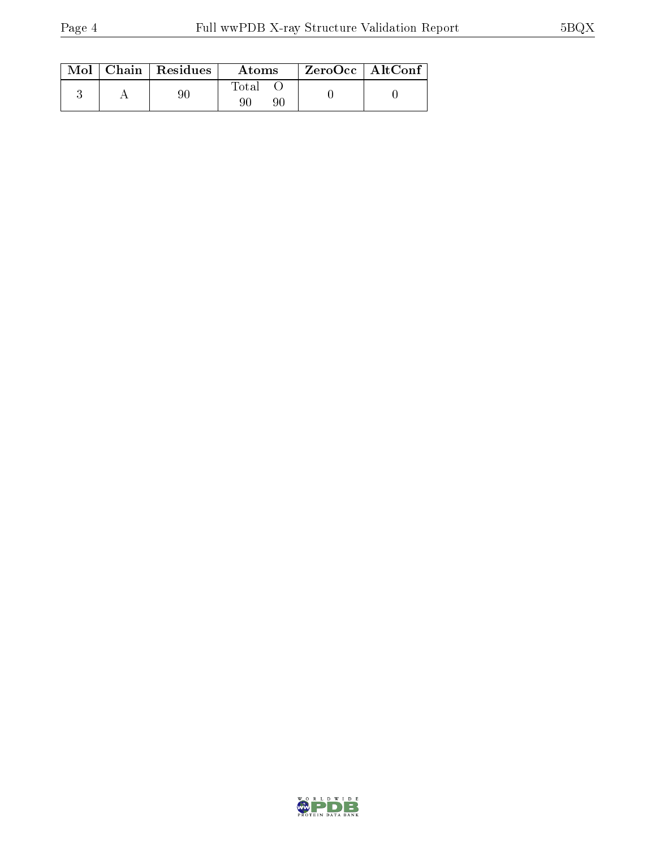|  | $Mol$   Chain   Residues | Atoms | $ZeroOcc \mid AltConf \mid$ |
|--|--------------------------|-------|-----------------------------|
|  |                          | Total |                             |

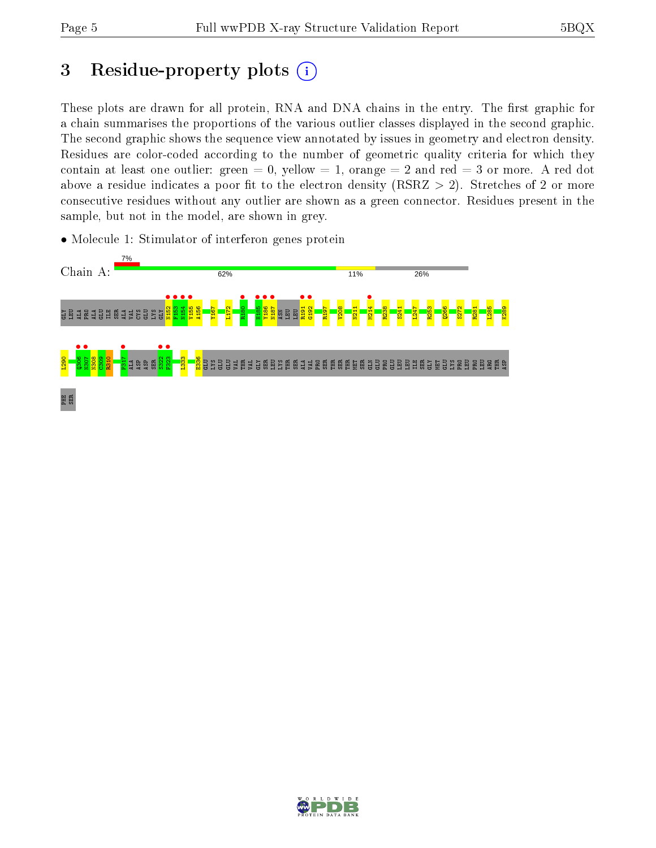# 3 Residue-property plots  $(i)$

These plots are drawn for all protein, RNA and DNA chains in the entry. The first graphic for a chain summarises the proportions of the various outlier classes displayed in the second graphic. The second graphic shows the sequence view annotated by issues in geometry and electron density. Residues are color-coded according to the number of geometric quality criteria for which they contain at least one outlier: green  $= 0$ , yellow  $= 1$ , orange  $= 2$  and red  $= 3$  or more. A red dot above a residue indicates a poor fit to the electron density (RSRZ  $> 2$ ). Stretches of 2 or more consecutive residues without any outlier are shown as a green connector. Residues present in the sample, but not in the model, are shown in grey.



• Molecule 1: Stimulator of interferon genes protein

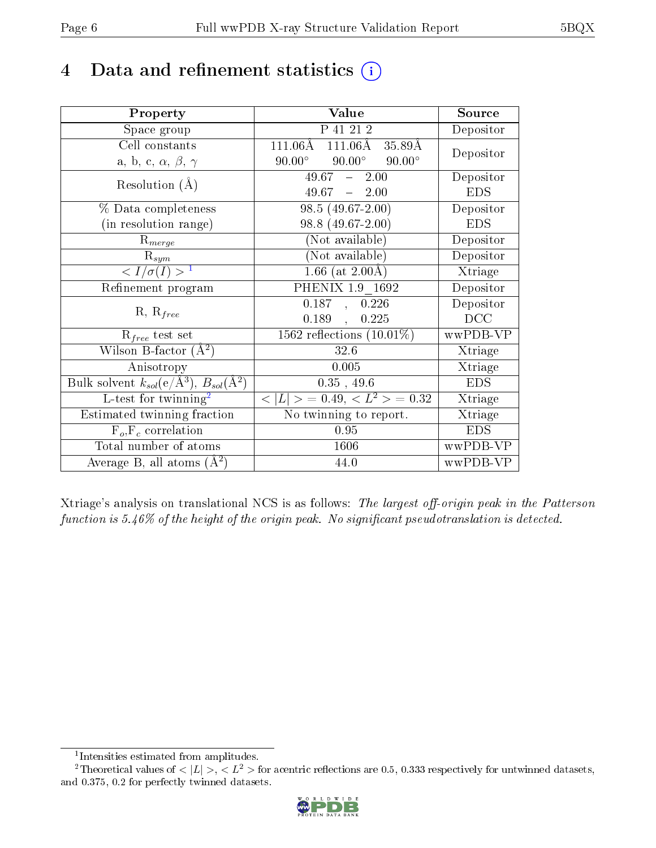# 4 Data and refinement statistics  $(i)$

| Property                                                         | Value                                              | Source     |
|------------------------------------------------------------------|----------------------------------------------------|------------|
| Space group                                                      | P 41 21 2                                          | Depositor  |
| Cell constants                                                   | $111.06\text{\AA}$<br>$111.06\text{\AA}$<br>35.89Å | Depositor  |
| a, b, c, $\alpha$ , $\beta$ , $\gamma$                           | $90.00^\circ$<br>$90.00^{\circ}$<br>$90.00^\circ$  |            |
| Resolution $(A)$                                                 | $49.67 - 2.00$                                     | Depositor  |
|                                                                  | $49.67 - 2.00$                                     | <b>EDS</b> |
| % Data completeness                                              | $98.5(49.67-2.00)$                                 | Depositor  |
| (in resolution range)                                            | 98.8 (49.67-2.00)                                  | <b>EDS</b> |
| $R_{merge}$                                                      | (Not available)                                    | Depositor  |
| $\mathrm{R}_{sym}$                                               | (Not available)                                    | Depositor  |
| $\langle I/\sigma(I) \rangle^{-1}$                               | 1.66 (at $2.00\text{\AA}$ )                        | Xtriage    |
| Refinement program                                               | PHENIX 1.9 1692                                    | Depositor  |
| $R, R_{free}$                                                    | $\overline{0.187}$ , 0.226                         | Depositor  |
|                                                                  | 0.189,<br>0.225                                    | DCC        |
| $\mathcal{R}_{free}$ test set                                    | $1562$ reflections $(10.01\%)$                     | wwPDB-VP   |
| Wilson B-factor $(A^2)$                                          | 32.6                                               | Xtriage    |
| Anisotropy                                                       | 0.005                                              | Xtriage    |
| Bulk solvent $k_{sol}(\text{e}/\text{A}^3), B_{sol}(\text{A}^2)$ | $0.35$ , 49.6                                      | <b>EDS</b> |
| L-test for twinning <sup>2</sup>                                 | $< L >$ = 0.49, $< L2$ > = 0.32                    | Xtriage    |
| Estimated twinning fraction                                      | $\overline{\text{No}}$ twinning to report.         | Xtriage    |
| $F_o, F_c$ correlation                                           | 0.95                                               | <b>EDS</b> |
| Total number of atoms                                            | 1606                                               | wwPDB-VP   |
| Average B, all atoms $(A^2)$                                     | 44.0                                               | wwPDB-VP   |

Xtriage's analysis on translational NCS is as follows: The largest off-origin peak in the Patterson function is  $5.46\%$  of the height of the origin peak. No significant pseudotranslation is detected.

<sup>&</sup>lt;sup>2</sup>Theoretical values of  $\langle |L| \rangle$ ,  $\langle L^2 \rangle$  for acentric reflections are 0.5, 0.333 respectively for untwinned datasets, and 0.375, 0.2 for perfectly twinned datasets.



<span id="page-5-1"></span><span id="page-5-0"></span><sup>1</sup> Intensities estimated from amplitudes.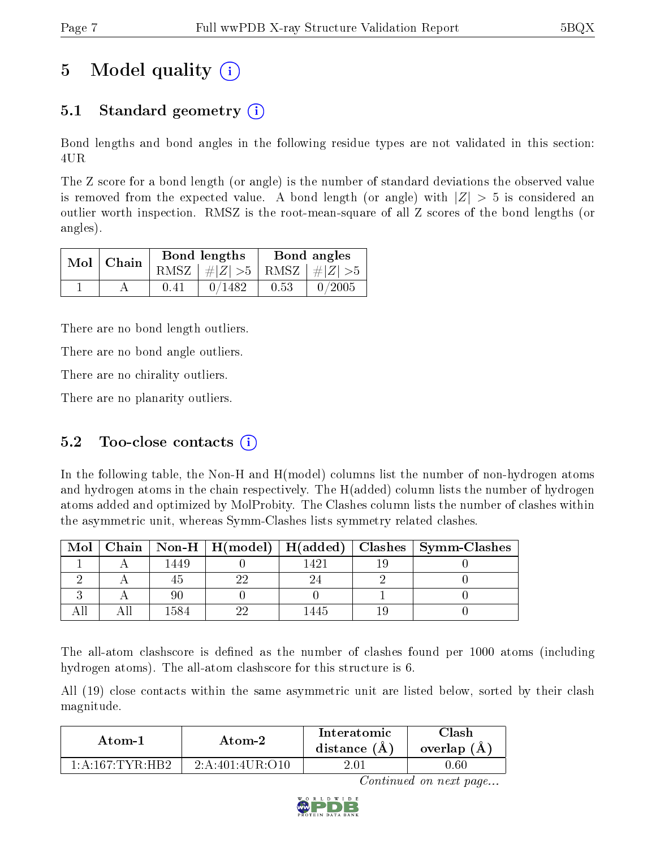# 5 Model quality  $(i)$

## 5.1 Standard geometry  $\overline{()}$

Bond lengths and bond angles in the following residue types are not validated in this section: 4UR

The Z score for a bond length (or angle) is the number of standard deviations the observed value is removed from the expected value. A bond length (or angle) with  $|Z| > 5$  is considered an outlier worth inspection. RMSZ is the root-mean-square of all Z scores of the bond lengths (or angles).

| $Mol$   Chain |      | Bond lengths                    | Bond angles |           |  |
|---------------|------|---------------------------------|-------------|-----------|--|
|               |      | RMSZ $ #Z  > 5$ RMSZ $ #Z  > 5$ |             |           |  |
|               | 0.41 | 0/1482                          | 0.53        | $-0/2005$ |  |

There are no bond length outliers.

There are no bond angle outliers.

There are no chirality outliers.

There are no planarity outliers.

### 5.2 Too-close contacts  $(i)$

In the following table, the Non-H and H(model) columns list the number of non-hydrogen atoms and hydrogen atoms in the chain respectively. The H(added) column lists the number of hydrogen atoms added and optimized by MolProbity. The Clashes column lists the number of clashes within the asymmetric unit, whereas Symm-Clashes lists symmetry related clashes.

| $\bf{Mol}$ |      |  | Chain   Non-H   H(model)   H(added)   Clashes   Symm-Clashes |
|------------|------|--|--------------------------------------------------------------|
|            | 1449 |  |                                                              |
|            |      |  |                                                              |
|            |      |  |                                                              |
|            |      |  |                                                              |

The all-atom clashscore is defined as the number of clashes found per 1000 atoms (including hydrogen atoms). The all-atom clashscore for this structure is 6.

All (19) close contacts within the same asymmetric unit are listed below, sorted by their clash magnitude.

| Atom-1                                    | Atom-2           | Interatomic<br>distance $(A)$ | Clash<br>overlap (A) |
|-------------------------------------------|------------------|-------------------------------|----------------------|
| $1 \cdot 4 \cdot 167 \cdot TVR \cdot HR9$ | 2: A:401:4UR:O10 |                               | J.60 -               |

Continued on next page...

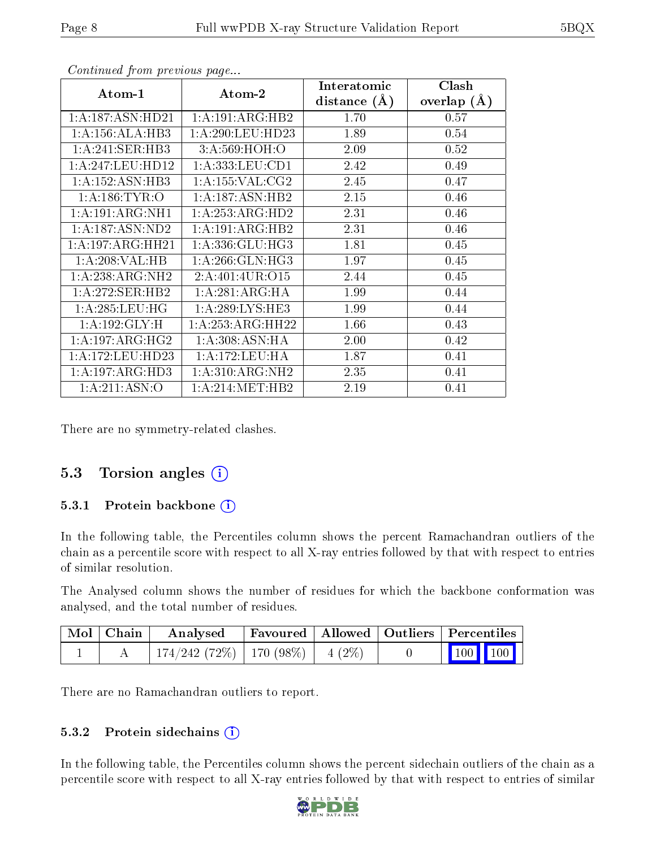| Atom-1              | $\boldsymbol{\mathrm{Atom}\text{-}2}$ | Interatomic    | Clash         |
|---------------------|---------------------------------------|----------------|---------------|
|                     |                                       | distance $(A)$ | overlap $(A)$ |
| 1: A:187: ASN: HD21 | 1:A:191:ARG:HB2                       | 1.70           | 0.57          |
| 1:A:156:ALA:HB3     | 1: A:290:LEU:HD23                     | 1.89           | 0.54          |
| 1: A:241: SER:HB3   | 3:A:569:HOH:O                         | 2.09           | 0.52          |
| 1:A:247:LEU:HD12    | 1: A: 333: LEU: CD1                   | 2.42           | 0.49          |
| 1:A:152:ASN:HB3     | 1: A: 155: VAL: CG2                   | 2.45           | 0.47          |
| 1: A:186:TYR:O      | 1:A:187:ASN:HB2                       | 2.15           | 0.46          |
| 1:A:191:ARG:NH1     | 1:A:253:ARG:HD2                       | 2.31           | 0.46          |
| 1: A: 187: ASN: ND2 | 1:A:191:ARG:HB2                       | 2.31           | 0.46          |
| 1:A:197:ARG:HH21    | 1: A: 336: GLU: HG3                   | 1.81           | 0.45          |
| 1:A:208:VAL:HB      | 1: A:266: GLN: HG3                    | 1.97           | 0.45          |
| 1:A:238:ARG:NH2     | 2: A:401:4UR:O15                      | 2.44           | 0.45          |
| 1:A:272:SER:HB2     | 1:A:281:ARG:HA                        | 1.99           | 0.44          |
| 1:A:285:LEU:HG      | 1: A:289:LYS:HE3                      | 1.99           | 0.44          |
| 1:A:192:GLY:H       | 1: A:253:ARG:HH22                     | 1.66           | 0.43          |
| 1: A: 197: ARG: HG2 | 1: A:308: ASN: HA                     | 2.00           | 0.42          |
| 1: A:172: LEU: HD23 | 1: A:172:LEU:HA                       | 1.87           | 0.41          |
| 1: A: 197: ARG: HD3 | 1: A:310: ARG: NH2                    | 2.35           | 0.41          |
| 1: A:211: ASN:O     | 1: A:214: MET:HB2                     | 2.19           | 0.41          |

Continued from previous page...

There are no symmetry-related clashes.

### 5.3 Torsion angles (i)

#### 5.3.1 Protein backbone (i)

In the following table, the Percentiles column shows the percent Ramachandran outliers of the chain as a percentile score with respect to all X-ray entries followed by that with respect to entries of similar resolution.

The Analysed column shows the number of residues for which the backbone conformation was analysed, and the total number of residues.

| $\mid$ Mol $\mid$ Chain $\mid$ | $\boldsymbol{\mathrm{Analysed}}$   |  | Favoured   Allowed   Outliers   Percentiles |  |
|--------------------------------|------------------------------------|--|---------------------------------------------|--|
|                                | 174/242 (72%)   170 (98%)   4 (2%) |  | $\vert$ 100 100 $\vert$                     |  |

There are no Ramachandran outliers to report.

#### 5.3.2 Protein sidechains  $(i)$

In the following table, the Percentiles column shows the percent sidechain outliers of the chain as a percentile score with respect to all X-ray entries followed by that with respect to entries of similar

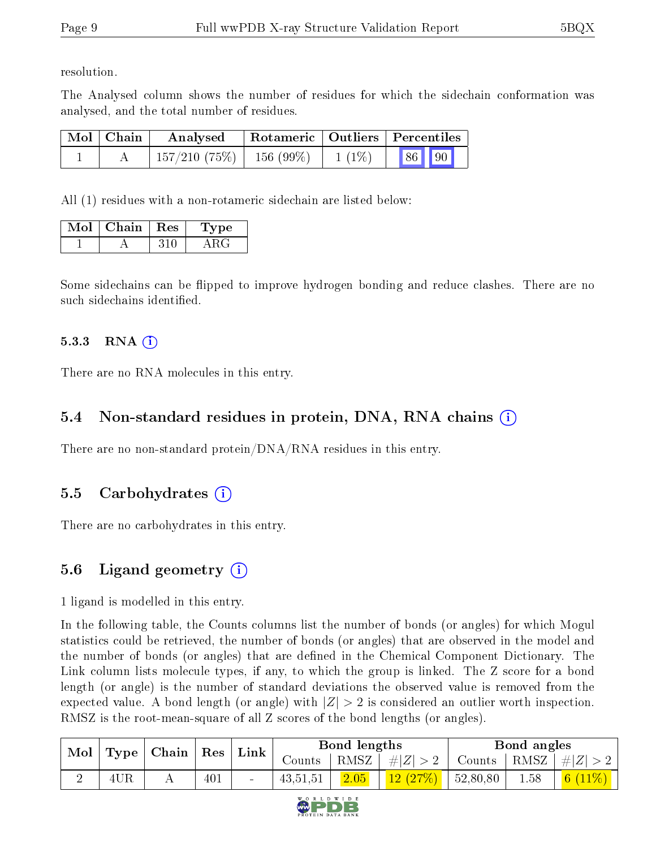resolution.

The Analysed column shows the number of residues for which the sidechain conformation was analysed, and the total number of residues.

| Mol   Chain | Analysed                      |          | $\mid$ Rotameric $\mid$ Outliers $\mid$ Percentiles $\mid$ |       |  |
|-------------|-------------------------------|----------|------------------------------------------------------------|-------|--|
|             | $157/210$ (75\%)   156 (99\%) | $1(1\%)$ |                                                            | 86 90 |  |

All (1) residues with a non-rotameric sidechain are listed below:

| Mol | Chain | $\mid$ Res | Lype |
|-----|-------|------------|------|
|     |       | 310-       |      |

Some sidechains can be flipped to improve hydrogen bonding and reduce clashes. There are no such sidechains identified.

#### 5.3.3 RNA  $(i)$

There are no RNA molecules in this entry.

### 5.4 Non-standard residues in protein, DNA, RNA chains  $(i)$

There are no non-standard protein/DNA/RNA residues in this entry.

### 5.5 Carbohydrates  $(i)$

There are no carbohydrates in this entry.

### 5.6 Ligand geometry  $(i)$

1 ligand is modelled in this entry.

In the following table, the Counts columns list the number of bonds (or angles) for which Mogul statistics could be retrieved, the number of bonds (or angles) that are observed in the model and the number of bonds (or angles) that are defined in the Chemical Component Dictionary. The Link column lists molecule types, if any, to which the group is linked. The Z score for a bond length (or angle) is the number of standard deviations the observed value is removed from the expected value. A bond length (or angle) with  $|Z| > 2$  is considered an outlier worth inspection. RMSZ is the root-mean-square of all Z scores of the bond lengths (or angles).

| Mol | Type | Chain | $\sum_{i=1}^{n}$ | ${\rm Link}$    | Bond lengths |      |         | Bond angles |      |                           |
|-----|------|-------|------------------|-----------------|--------------|------|---------|-------------|------|---------------------------|
|     |      |       |                  |                 | Counts       | RMSZ | $\# Z $ | Counts      | RMSZ | $\# Z $                   |
| ↩   | 4UR  |       | 401              | $\qquad \qquad$ | 43, 51, 51   | 2.05 | 12(27%) | 52,80,80    | 1.58 | $11\%)$<br>6 <sup>1</sup> |

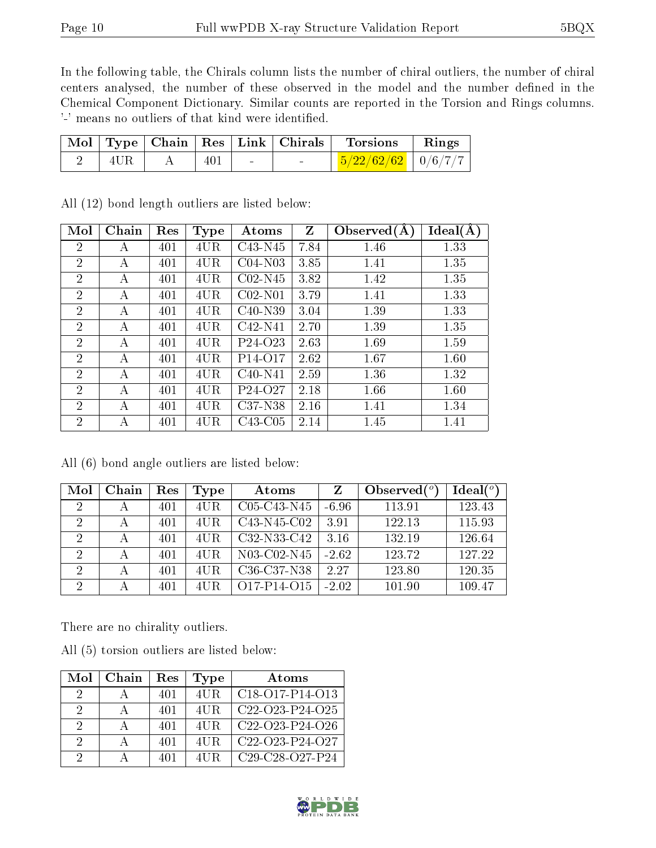In the following table, the Chirals column lists the number of chiral outliers, the number of chiral centers analysed, the number of these observed in the model and the number defined in the Chemical Component Dictionary. Similar counts are reported in the Torsion and Rings columns. '-' means no outliers of that kind were identified.

|                 |     | Mol   Type   Chain   Res   Link   Chirals | <sup>1</sup> Torsions          | $\parallel$ Rings |
|-----------------|-----|-------------------------------------------|--------------------------------|-------------------|
| $4 \mathrm{UR}$ | 401 |                                           | $\frac{5}{22/62/62}$   0/6/7/7 |                   |

| Mol            | Chain | Res | <b>Type</b> | Atoms                            | $Z_{\parallel}$ | $\overline{\text{Observed}}(\text{A})$ | Ideal(A) |
|----------------|-------|-----|-------------|----------------------------------|-----------------|----------------------------------------|----------|
| $\overline{2}$ | А     | 401 | 4UR         | C43-N45                          | 7.84            | 1.46                                   | 1.33     |
| $\overline{2}$ | А     | 401 | 4UR         | C04-N03                          | 3.85            | 1.41                                   | 1.35     |
| $\overline{2}$ | А     | 401 | 4UR         | $C02-N45$                        | 3.82            | 1.42                                   | 1.35     |
| $\overline{2}$ | А     | 401 | 4UR         | $C02-N01$                        | 3.79            | 1.41                                   | 1.33     |
| $\overline{2}$ | А     | 401 | 4UR         | $C40-N39$                        | 3.04            | 1.39                                   | 1.33     |
| $\overline{2}$ | А     | 401 | 4UR         | $C42-N41$                        | 2.70            | 1.39                                   | 1.35     |
| $\overline{2}$ | А     | 401 | 4UR         | P <sub>24</sub> -O <sub>23</sub> | 2.63            | 1.69                                   | 1.59     |
| $\overline{2}$ | A     | 401 | 4UR         | P <sub>14</sub> -O <sub>17</sub> | 2.62            | 1.67                                   | 1.60     |
| $\overline{2}$ | А     | 401 | 4UR         | $C40-N41$                        | 2.59            | 1.36                                   | 1.32     |
| $\overline{2}$ | A     | 401 | 4UR         | P <sub>24</sub> -O <sub>27</sub> | 2.18            | 1.66                                   | 1.60     |
| $\overline{2}$ | А     | 401 | 4UR         | C37-N38                          | 2.16            | 1.41                                   | 1.34     |
| $\overline{2}$ | А     | 401 | 4UR         | C43-C05                          | 2.14            | 1.45                                   | 1.41     |

All (12) bond length outliers are listed below:

All (6) bond angle outliers are listed below:

| Mol                         | Chain | Res | Type | Atoms                                             | Z       | Observed $(°)$ | Ideal $(^\circ)$ |
|-----------------------------|-------|-----|------|---------------------------------------------------|---------|----------------|------------------|
| $\overline{2}$              |       | 401 | 4UR. | C05-C43-N45                                       | $-6.96$ | 113.91         | 123.43           |
| 2                           | А     | 401 | 4UR. | C43-N45-C02                                       | 3.91    | 122.13         | 115.93           |
| $\overline{2}$              | А     | 401 | 4UR. | C32-N33-C42                                       | 3.16    | 132.19         | 126.64           |
| $\mathcal{D}_{\mathcal{A}}$ | А     | 401 | 4UR. | N03-C02-N45                                       | $-2.62$ | 123.72         | 127.22           |
| 2                           | А     | 401 | 4UR  | C <sub>36</sub> -C <sub>37</sub> -N <sub>38</sub> | 2.27    | 123.80         | 120.35           |
| $\overline{2}$              | А     | 401 | 4UR. | O17-P14-O15                                       | $-2.02$ | 101.90         | 109.47           |

There are no chirality outliers.

|  |  | All (5) torsion outliers are listed below: |  |  |  |  |
|--|--|--------------------------------------------|--|--|--|--|
|--|--|--------------------------------------------|--|--|--|--|

| Mol | Chain | Res | Type | Atoms                                                              |
|-----|-------|-----|------|--------------------------------------------------------------------|
| 9   |       | 401 | 4UR. | $C18-O17-P14-O13$                                                  |
| 9   |       | 401 | 4UR. | $C22-O23-P24-O25$                                                  |
| 9   |       | 401 | 4UR. | C <sub>22</sub> -O <sub>23</sub> -P <sub>24</sub> -O <sub>26</sub> |
| 2   |       | 401 | 4UR. | $C22-O23-P24-O27$                                                  |
| 2   |       | 401 | 4UR. | $C29-C28-C27-P24$                                                  |

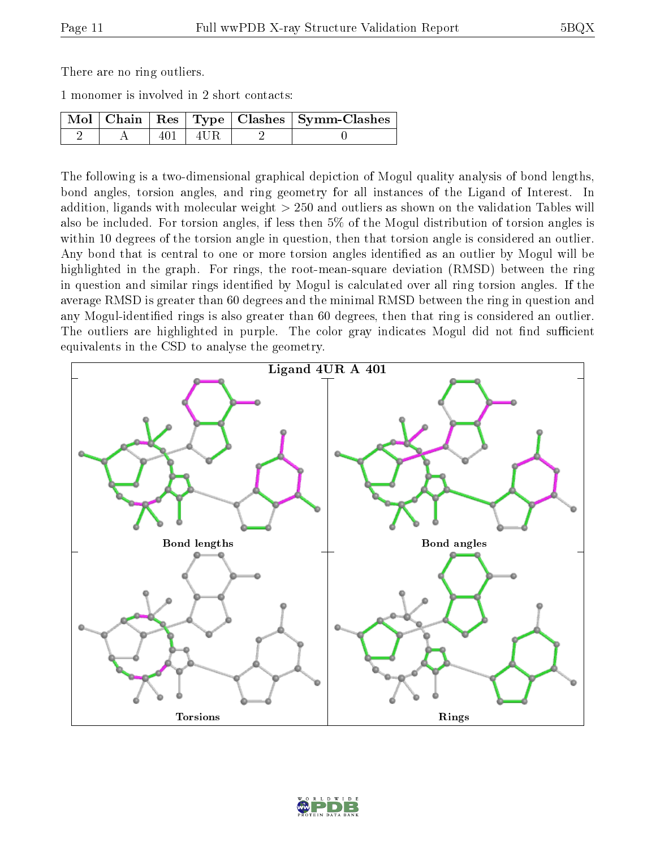There are no ring outliers.

1 monomer is involved in 2 short contacts:

|  |       |        | Mol   Chain   Res   Type   Clashes   Symm-Clashes |
|--|-------|--------|---------------------------------------------------|
|  | 401 L | ' 4UR. |                                                   |

The following is a two-dimensional graphical depiction of Mogul quality analysis of bond lengths, bond angles, torsion angles, and ring geometry for all instances of the Ligand of Interest. In addition, ligands with molecular weight > 250 and outliers as shown on the validation Tables will also be included. For torsion angles, if less then 5% of the Mogul distribution of torsion angles is within 10 degrees of the torsion angle in question, then that torsion angle is considered an outlier. Any bond that is central to one or more torsion angles identified as an outlier by Mogul will be highlighted in the graph. For rings, the root-mean-square deviation (RMSD) between the ring in question and similar rings identified by Mogul is calculated over all ring torsion angles. If the average RMSD is greater than 60 degrees and the minimal RMSD between the ring in question and any Mogul-identied rings is also greater than 60 degrees, then that ring is considered an outlier. The outliers are highlighted in purple. The color gray indicates Mogul did not find sufficient equivalents in the CSD to analyse the geometry.



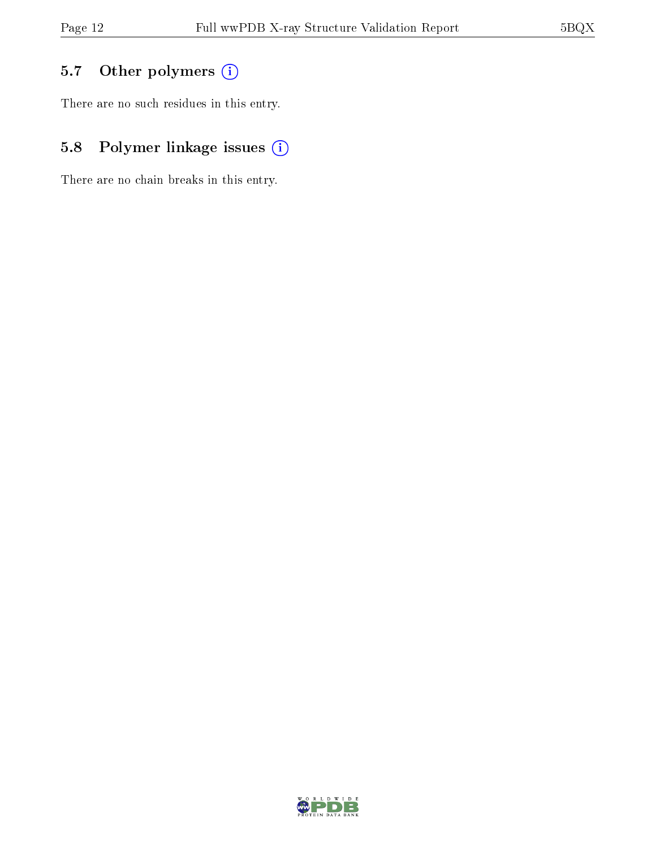## 5.7 [O](https://www.wwpdb.org/validation/2017/XrayValidationReportHelp#nonstandard_residues_and_ligands)ther polymers (i)

There are no such residues in this entry.

## 5.8 Polymer linkage issues (i)

There are no chain breaks in this entry.

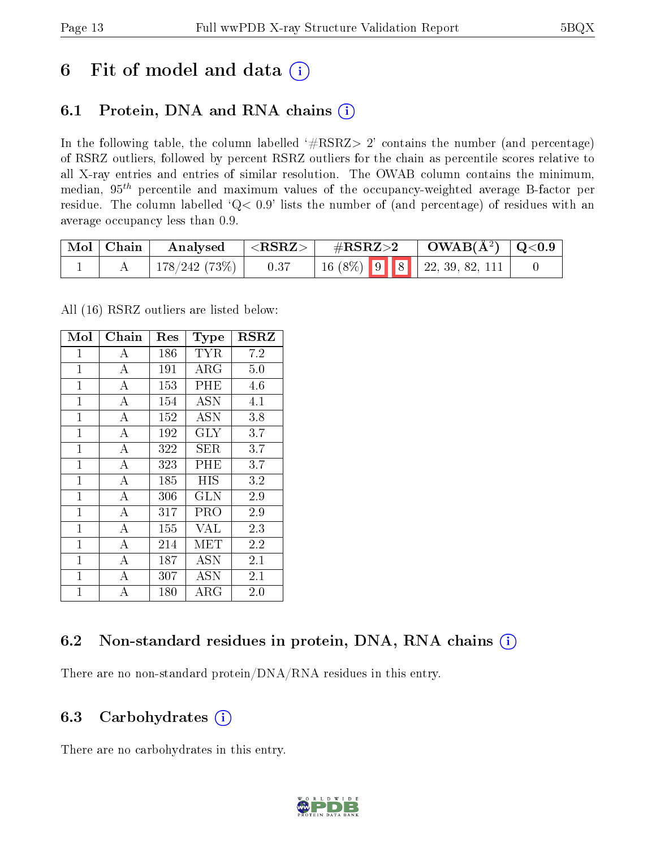## 6 Fit of model and data  $(i)$

## 6.1 Protein, DNA and RNA chains  $(i)$

In the following table, the column labelled  $#RSRZ> 2'$  contains the number (and percentage) of RSRZ outliers, followed by percent RSRZ outliers for the chain as percentile scores relative to all X-ray entries and entries of similar resolution. The OWAB column contains the minimum, median,  $95<sup>th</sup>$  percentile and maximum values of the occupancy-weighted average B-factor per residue. The column labelled ' $Q< 0.9$ ' lists the number of (and percentage) of residues with an average occupancy less than 0.9.

| $\mid$ Mol $\mid$ Chain | $\rm{Analysised}$ $ \langle \rm{RSRZ}\rangle $ |                                                                                                   | $\#RSRZ>2$ $\Box$ $OWAB(\AA^2)$ $\Box Q<0.9$ |  |
|-------------------------|------------------------------------------------|---------------------------------------------------------------------------------------------------|----------------------------------------------|--|
|                         | $\mid$ 178/242 (73%) $\mid$ 0.37               | $\begin{array}{ c c c c c c c c } \hline 16 & (8\%) & 9 & 8 & 22, 39, 82, 111 \hline \end{array}$ |                                              |  |

All (16) RSRZ outliers are listed below:

| Mol            | ${\rm Chain}$      | $\operatorname{Res}% \left( \mathcal{N}\right) \simeq\operatorname{Res}(\mathcal{N}_{0})^{\ast}$ | Type        | $_{\rm RSRZ}$ |  |
|----------------|--------------------|--------------------------------------------------------------------------------------------------|-------------|---------------|--|
| $\mathbf{1}$   | А                  | 186                                                                                              | TYR         | 7.2           |  |
| $\overline{1}$ | $\overline{A}$     | 191                                                                                              | ${\rm ARG}$ | 5.0           |  |
| $\overline{1}$ | А                  | 153                                                                                              | PHE         | 4.6           |  |
| $\mathbf{1}$   | $\bf{A}$           | 154                                                                                              | <b>ASN</b>  | 4.1           |  |
| $\mathbf{1}$   | $\overline{\rm A}$ | 152                                                                                              | ASN         | 3.8           |  |
| $\mathbf{1}$   | А                  | 192                                                                                              | <b>GLY</b>  | 3.7           |  |
| $\mathbf{1}$   | $\overline{A}$     | 322                                                                                              | SER.        | 3.7           |  |
| $\mathbf{1}$   | $\overline{A}$     | 323                                                                                              | PHE         | 3.7           |  |
| $\overline{1}$ | $\bf{A}$           | 185                                                                                              | HIS         | 3.2           |  |
| $\mathbf{1}$   | $\overline{A}$     | 306                                                                                              | <b>GLN</b>  | 2.9           |  |
| $\overline{1}$ | $\overline{A}$     | 317                                                                                              | PRO         | 2.9           |  |
| $\mathbf{1}$   | А                  | 155                                                                                              | VAL         | 2.3           |  |
| $\mathbf 1$    | $\overline{A}$     | 214                                                                                              | MET         | 2.2           |  |
| $\mathbf{1}$   | А                  | 187                                                                                              | <b>ASN</b>  | 2.1           |  |
| $\mathbf{1}$   | A                  | 307                                                                                              | ASN         | 2.1           |  |
| $\mathbf{1}$   | A                  | 180                                                                                              | $\rm{ARG}$  | $2.0\,$       |  |

### 6.2 Non-standard residues in protein, DNA, RNA chains  $(i)$

There are no non-standard protein/DNA/RNA residues in this entry.

### 6.3 Carbohydrates (i)

There are no carbohydrates in this entry.